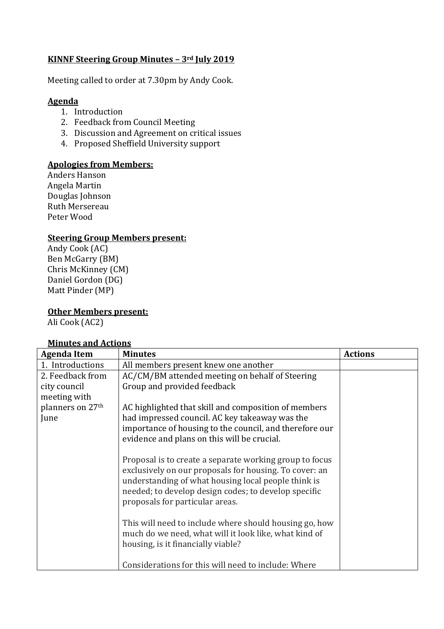# **KINNF Steering Group Minutes – 3rd July 2019**

Meeting called to order at 7.30pm by Andy Cook.

### **Agenda**

- 1. Introduction
- 2. Feedback from Council Meeting
- 3. Discussion and Agreement on critical issues
- 4. Proposed Sheffield University support

### **Apologies from Members:**

Anders Hanson Angela Martin Douglas Johnson Ruth Mersereau Peter Wood

### **Steering Group Members present:**

Andy Cook (AC) Ben McGarry (BM) Chris McKinney (CM) Daniel Gordon (DG) Matt Pinder (MP)

### **Other Members present:**

Ali Cook (AC2)

## **Minutes and Actions**

| <b>Agenda Item</b> | <b>Minutes</b>                                                                                                                                                                                                                                                      | <b>Actions</b> |
|--------------------|---------------------------------------------------------------------------------------------------------------------------------------------------------------------------------------------------------------------------------------------------------------------|----------------|
| 1. Introductions   | All members present knew one another                                                                                                                                                                                                                                |                |
| 2. Feedback from   | AC/CM/BM attended meeting on behalf of Steering                                                                                                                                                                                                                     |                |
| city council       | Group and provided feedback                                                                                                                                                                                                                                         |                |
| meeting with       |                                                                                                                                                                                                                                                                     |                |
| planners on 27th   | AC highlighted that skill and composition of members                                                                                                                                                                                                                |                |
| June               | had impressed council. AC key takeaway was the                                                                                                                                                                                                                      |                |
|                    | importance of housing to the council, and therefore our                                                                                                                                                                                                             |                |
|                    | evidence and plans on this will be crucial.                                                                                                                                                                                                                         |                |
|                    | Proposal is to create a separate working group to focus<br>exclusively on our proposals for housing. To cover: an<br>understanding of what housing local people think is<br>needed; to develop design codes; to develop specific<br>proposals for particular areas. |                |
|                    | This will need to include where should housing go, how<br>much do we need, what will it look like, what kind of<br>housing, is it financially viable?                                                                                                               |                |
|                    | Considerations for this will need to include: Where                                                                                                                                                                                                                 |                |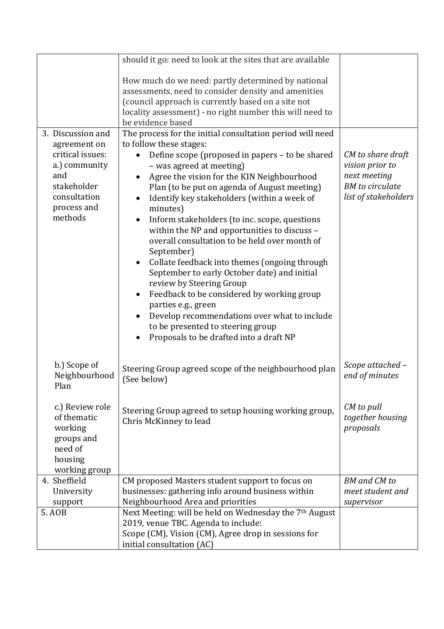|                                                                                                                   | should it go: need to look at the sites that are available                                                                                                                                                                                                                                                                                                                                                                                                                                                                                                                                                                                                                                                                                                        |                                                                                                        |
|-------------------------------------------------------------------------------------------------------------------|-------------------------------------------------------------------------------------------------------------------------------------------------------------------------------------------------------------------------------------------------------------------------------------------------------------------------------------------------------------------------------------------------------------------------------------------------------------------------------------------------------------------------------------------------------------------------------------------------------------------------------------------------------------------------------------------------------------------------------------------------------------------|--------------------------------------------------------------------------------------------------------|
|                                                                                                                   | How much do we need: partly determined by national<br>assessments, need to consider density and amenities<br>(council approach is currently based on a site not<br>locality assessment) - no right number this will need to<br>be evidence based                                                                                                                                                                                                                                                                                                                                                                                                                                                                                                                  |                                                                                                        |
| 3. Discussion and                                                                                                 | The process for the initial consultation period will need                                                                                                                                                                                                                                                                                                                                                                                                                                                                                                                                                                                                                                                                                                         |                                                                                                        |
| agreement on<br>critical issues:<br>a.) community<br>and<br>stakeholder<br>consultation<br>process and<br>methods | to follow these stages:<br>Define scope (proposed in papers – to be shared<br>- was agreed at meeting)<br>Agree the vision for the KIN Neighbourhood<br>Plan (to be put on agenda of August meeting)<br>Identify key stakeholders (within a week of<br>minutes)<br>Inform stakeholders (to inc. scope, questions<br>within the NP and opportunities to discuss -<br>overall consultation to be held over month of<br>September)<br>Collate feedback into themes (ongoing through<br>September to early October date) and initial<br>review by Steering Group<br>Feedback to be considered by working group<br>parties e.g., green<br>Develop recommendations over what to include<br>to be presented to steering group<br>Proposals to be drafted into a draft NP | CM to share draft<br>vision prior to<br>next meeting<br><b>BM</b> to circulate<br>list of stakeholders |
| b.) Scope of<br>Neighbourhood<br>Plan                                                                             | Steering Group agreed scope of the neighbourhood plan<br>(See below)                                                                                                                                                                                                                                                                                                                                                                                                                                                                                                                                                                                                                                                                                              | Scope attached -<br>end of minutes                                                                     |
| c.) Review role<br>of thematic<br>working<br>groups and<br>need of<br>housing<br>working group                    | Steering Group agreed to setup housing working group,<br>Chris McKinney to lead                                                                                                                                                                                                                                                                                                                                                                                                                                                                                                                                                                                                                                                                                   | CM to pull<br>together housing<br>proposals                                                            |
| 4. Sheffield                                                                                                      | CM proposed Masters student support to focus on                                                                                                                                                                                                                                                                                                                                                                                                                                                                                                                                                                                                                                                                                                                   | <b>BM</b> and <b>CM</b> to                                                                             |
| University                                                                                                        | businesses: gathering info around business within                                                                                                                                                                                                                                                                                                                                                                                                                                                                                                                                                                                                                                                                                                                 | meet student and                                                                                       |
| support                                                                                                           | Neighbourhood Area and priorities                                                                                                                                                                                                                                                                                                                                                                                                                                                                                                                                                                                                                                                                                                                                 | supervisor                                                                                             |
| 5. AOB                                                                                                            | Next Meeting: will be held on Wednesday the 7th August<br>2019, venue TBC. Agenda to include:<br>Scope (CM), Vision (CM), Agree drop in sessions for<br>initial consultation (AC)                                                                                                                                                                                                                                                                                                                                                                                                                                                                                                                                                                                 |                                                                                                        |